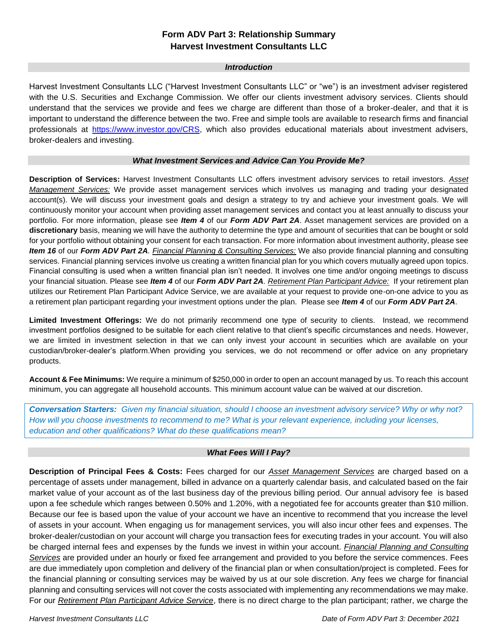# **Form ADV Part 3: Relationship Summary Harvest Investment Consultants LLC**

## *Introduction*

Harvest Investment Consultants LLC ("Harvest Investment Consultants LLC" or "we") is an investment adviser registered with the U.S. Securities and Exchange Commission. We offer our clients investment advisory services. Clients should understand that the services we provide and fees we charge are different than those of a broker-dealer, and that it is important to understand the difference between the two. Free and simple tools are available to research firms and financial professionals at [https://www.investor.gov/CRS,](https://www.investor.gov/CRS) which also provides educational materials about investment advisers, broker-dealers and investing.

## *What Investment Services and Advice Can You Provide Me?*

**Description of Services:** Harvest Investment Consultants LLC offers investment advisory services to retail investors. *Asset Management Services:* We provide asset management services which involves us managing and trading your designated account(s). We will discuss your investment goals and design a strategy to try and achieve your investment goals. We will continuously monitor your account when providing asset management services and contact you at least annually to discuss your portfolio. For more information, please see *Item 4* of our *Form ADV Part 2A*. Asset management services are provided on a **discretionary** basis, meaning we will have the authority to determine the type and amount of securities that can be bought or sold for your portfolio without obtaining your consent for each transaction. For more information about investment authority, please see *Item 16* of our *Form ADV Part 2A. Financial Planning & Consulting Services:* We also provide financial planning and consulting services. Financial planning services involve us creating a written financial plan for you which covers mutually agreed upon topics. Financial consulting is used when a written financial plan isn't needed. It involves one time and/or ongoing meetings to discuss your financial situation. Please see *Item 4* of our *Form ADV Part 2A. Retirement Plan Participant Advice:* If your retirement plan utilizes our Retirement Plan Participant Advice Service, we are available at your request to provide one-on-one advice to you as a retirement plan participant regarding your investment options under the plan. Please see *Item 4* of our *Form ADV Part 2A*.

**Limited Investment Offerings:** We do not primarily recommend one type of security to clients. Instead, we recommend investment portfolios designed to be suitable for each client relative to that client's specific circumstances and needs. However, we are limited in investment selection in that we can only invest your account in securities which are available on your custodian/broker-dealer's platform.When providing you services, we do not recommend or offer advice on any proprietary products.

**Account & Fee Minimums:** We require a minimum of \$250,000 in order to open an account managed by us. To reach this account minimum, you can aggregate all household accounts. This minimum account value can be waived at our discretion.

*Conversation Starters: Given my financial situation, should I choose an investment advisory service? Why or why not?* How will you choose investments to recommend to me? What is your relevant experience, including your licenses, *education and other qualifications? What do these qualifications mean?*

## *What Fees Will I Pay?*

**Description of Principal Fees & Costs:** Fees charged for our *Asset Management Services* are charged based on a percentage of assets under management, billed in advance on a quarterly calendar basis, and calculated based on the fair market value of your account as of the last business day of the previous billing period. Our annual advisory fee is based upon a fee schedule which ranges between 0.50% and 1.20%, with a negotiated fee for accounts greater than \$10 million. Because our fee is based upon the value of your account we have an incentive to recommend that you increase the level of assets in your account. When engaging us for management services, you will also incur other fees and expenses. The broker-dealer/custodian on your account will charge you transaction fees for executing trades in your account. You will also be charged internal fees and expenses by the funds we invest in within your account. *Financial Planning and Consulting Services* are provided under an hourly or fixed fee arrangement and provided to you before the service commences. Fees are due immediately upon completion and delivery of the financial plan or when consultation/project is completed. Fees for the financial planning or consulting services may be waived by us at our sole discretion. Any fees we charge for financial planning and consulting services will not cover the costs associated with implementing any recommendations we may make. For our *Retirement Plan Participant Advice Service*, there is no direct charge to the plan participant; rather, we charge the